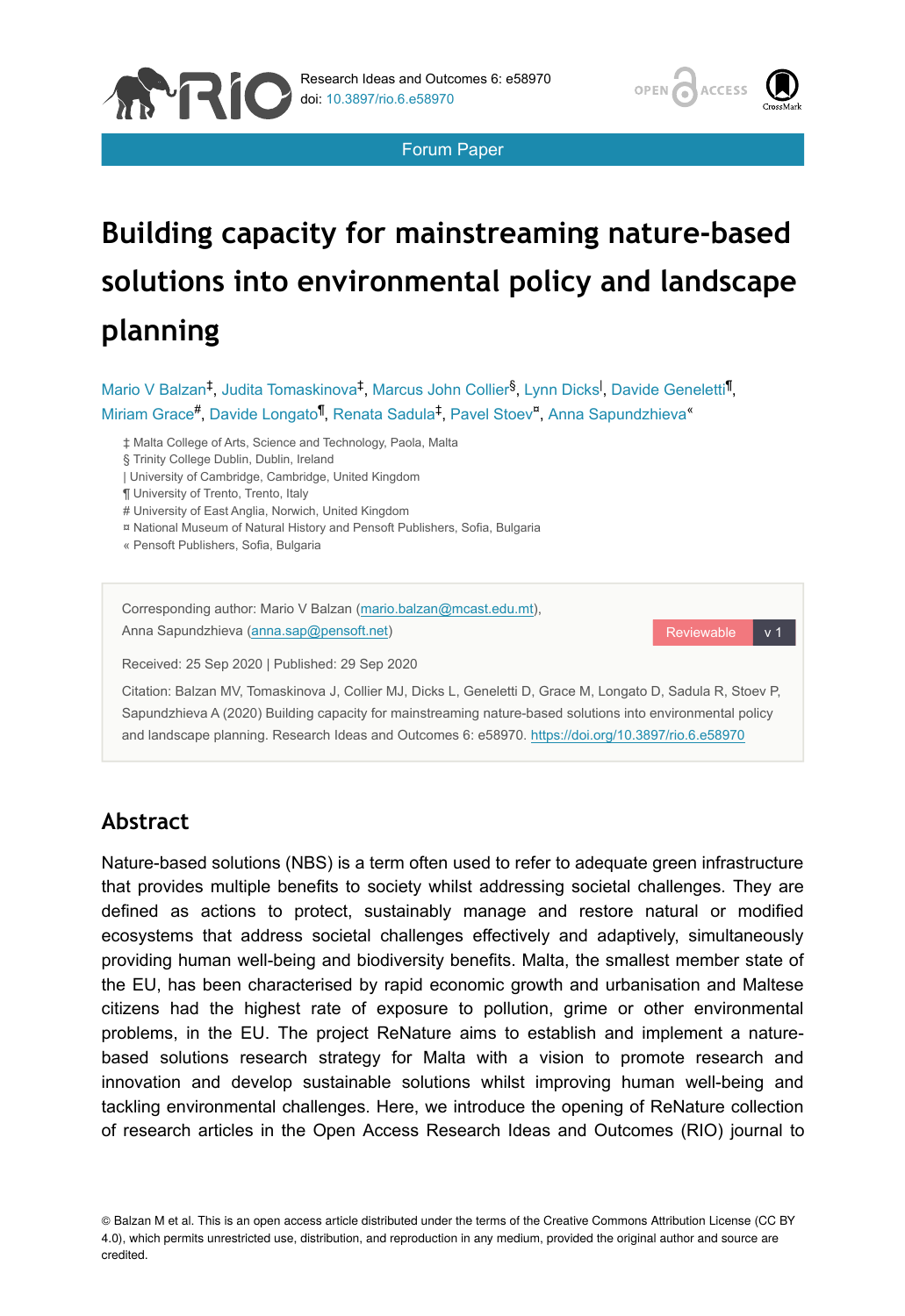



Reviewable

Forum Paper

# **Building capacity for mainstreaming nature-based solutions into environmental policy and landscape planning**

Mario V Balzan<sup>‡</sup>, Judita Tomaskinova<sup>‡</sup>, Marcus John Collier<sup>§</sup>, Lynn Dicks<sup>I</sup>, Davide Geneletti<sup>¶</sup>, Miriam Grace<sup>#</sup>, Davide Longato<sup>l</sup>, Renata Sadula<sup>‡</sup>, Pavel Stoev<sup>¤</sup>, Anna Sapundzhieva<sup>«</sup>

‡ Malta College of Arts, Science and Technology, Paola, Malta

§ Trinity College Dublin, Dublin, Ireland

| University of Cambridge, Cambridge, United Kingdom

¶ University of Trento, Trento, Italy

# University of East Anglia, Norwich, United Kingdom

¤ National Museum of Natural History and Pensoft Publishers, Sofia, Bulgaria

« Pensoft Publishers, Sofia, Bulgaria

Corresponding author: Mario V Balzan [\(mario.balzan@mcast.edu.mt](mailto:mario.balzan@mcast.edu.mt)), Anna Sapundzhieva ([anna.sap@pensoft.net](mailto:anna.sap@pensoft.net))

Received: 25 Sep 2020 | Published: 29 Sep 2020

Citation: Balzan MV, Tomaskinova J, Collier MJ, Dicks L, Geneletti D, Grace M, Longato D, Sadula R, Stoev P, Sapundzhieva A (2020) Building capacity for mainstreaming nature-based solutions into environmental policy and landscape planning. Research Ideas and Outcomes 6: e58970.<https://doi.org/10.3897/rio.6.e58970>

## **Abstract**

Nature-based solutions (NBS) is a term often used to refer to adequate green infrastructure that provides multiple benefits to society whilst addressing societal challenges. They are defined as actions to protect, sustainably manage and restore natural or modified ecosystems that address societal challenges effectively and adaptively, simultaneously providing human well-being and biodiversity benefits. Malta, the smallest member state of the EU, has been characterised by rapid economic growth and urbanisation and Maltese citizens had the highest rate of exposure to pollution, grime or other environmental problems, in the EU. The project ReNature aims to establish and implement a naturebased solutions research strategy for Malta with a vision to promote research and innovation and develop sustainable solutions whilst improving human well-being and tackling environmental challenges. Here, we introduce the opening of ReNature collection of research articles in the Open Access Research Ideas and Outcomes (RIO) journal to

© Balzan M et al. This is an open access article distributed under the terms of the Creative Commons Attribution License (CC BY 4.0), which permits unrestricted use, distribution, and reproduction in any medium, provided the original author and source are credited.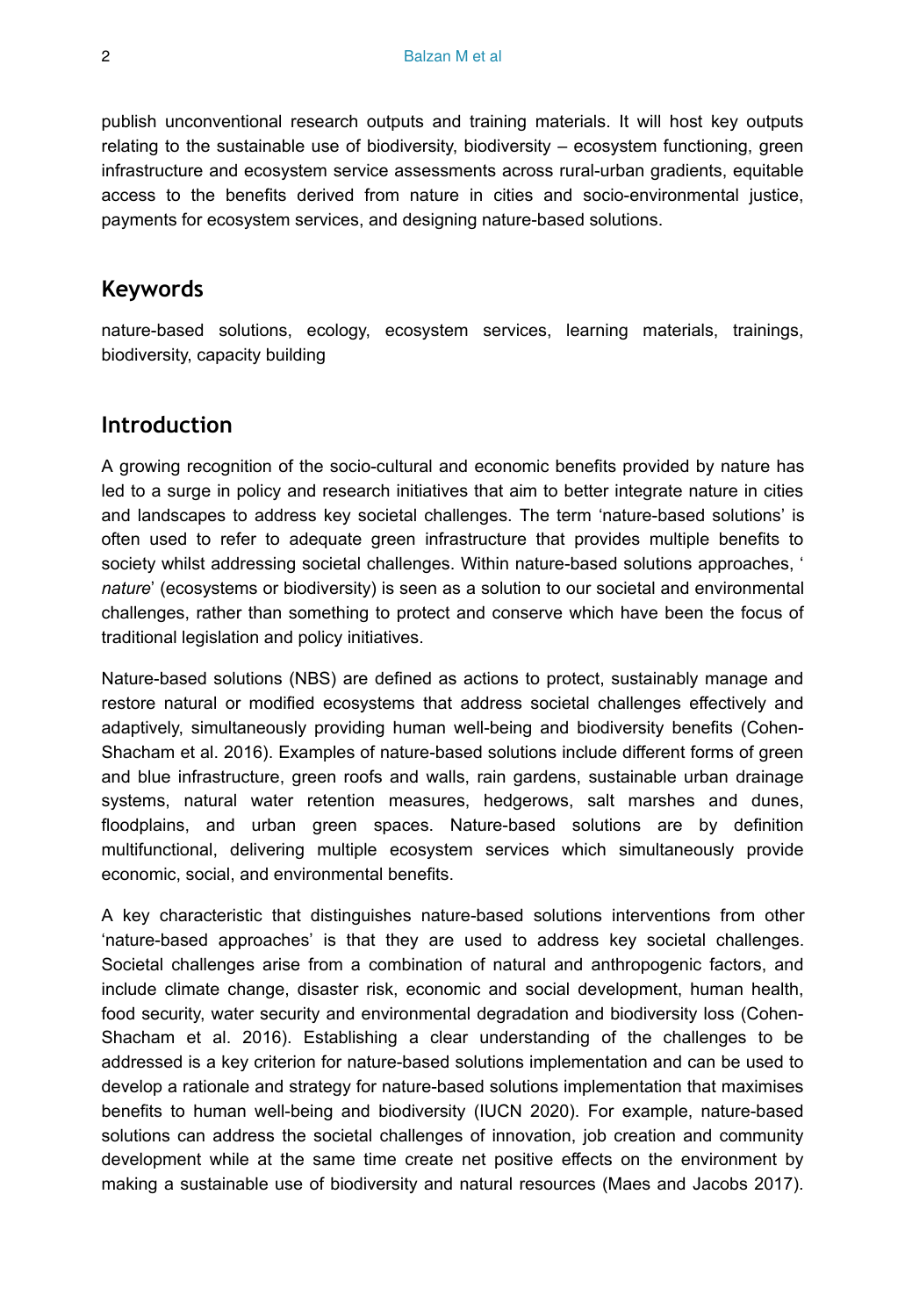publish unconventional research outputs and training materials. It will host key outputs relating to the sustainable use of biodiversity, biodiversity – ecosystem functioning, green infrastructure and ecosystem service assessments across rural-urban gradients, equitable access to the benefits derived from nature in cities and socio-environmental justice, payments for ecosystem services, and designing nature-based solutions.

### **Keywords**

nature-based solutions, ecology, ecosystem services, learning materials, trainings, biodiversity, capacity building

### **Introduction**

A growing recognition of the socio-cultural and economic benefits provided by nature has led to a surge in policy and research initiatives that aim to better integrate nature in cities and landscapes to address key societal challenges. The term 'nature-based solutions' is often used to refer to adequate green infrastructure that provides multiple benefits to society whilst addressing societal challenges. Within nature-based solutions approaches, ' *nature*' (ecosystems or biodiversity) is seen as a solution to our societal and environmental challenges, rather than something to protect and conserve which have been the focus of traditional legislation and policy initiatives.

Nature-based solutions (NBS) are defined as actions to protect, sustainably manage and restore natural or modified ecosystems that address societal challenges effectively and adaptively, simultaneously providing human well-being and biodiversity benefits (Cohen-Shacham et al. 2016). Examples of nature-based solutions include different forms of green and blue infrastructure, green roofs and walls, rain gardens, sustainable urban drainage systems, natural water retention measures, hedgerows, salt marshes and dunes, floodplains, and urban green spaces. Nature-based solutions are by definition multifunctional, delivering multiple ecosystem services which simultaneously provide economic, social, and environmental benefits.

A key characteristic that distinguishes nature-based solutions interventions from other 'nature-based approaches' is that they are used to address key societal challenges. Societal challenges arise from a combination of natural and anthropogenic factors, and include climate change, disaster risk, economic and social development, human health, food security, water security and environmental degradation and biodiversity loss (Cohen-Shacham et al. 2016). Establishing a clear understanding of the challenges to be addressed is a key criterion for nature-based solutions implementation and can be used to develop a rationale and strategy for nature-based solutions implementation that maximises benefits to human well-being and biodiversity (IUCN 2020). For example, nature-based solutions can address the societal challenges of innovation, job creation and community development while at the same time create net positive effects on the environment by making a sustainable use of biodiversity and natural resources (Maes and Jacobs 2017).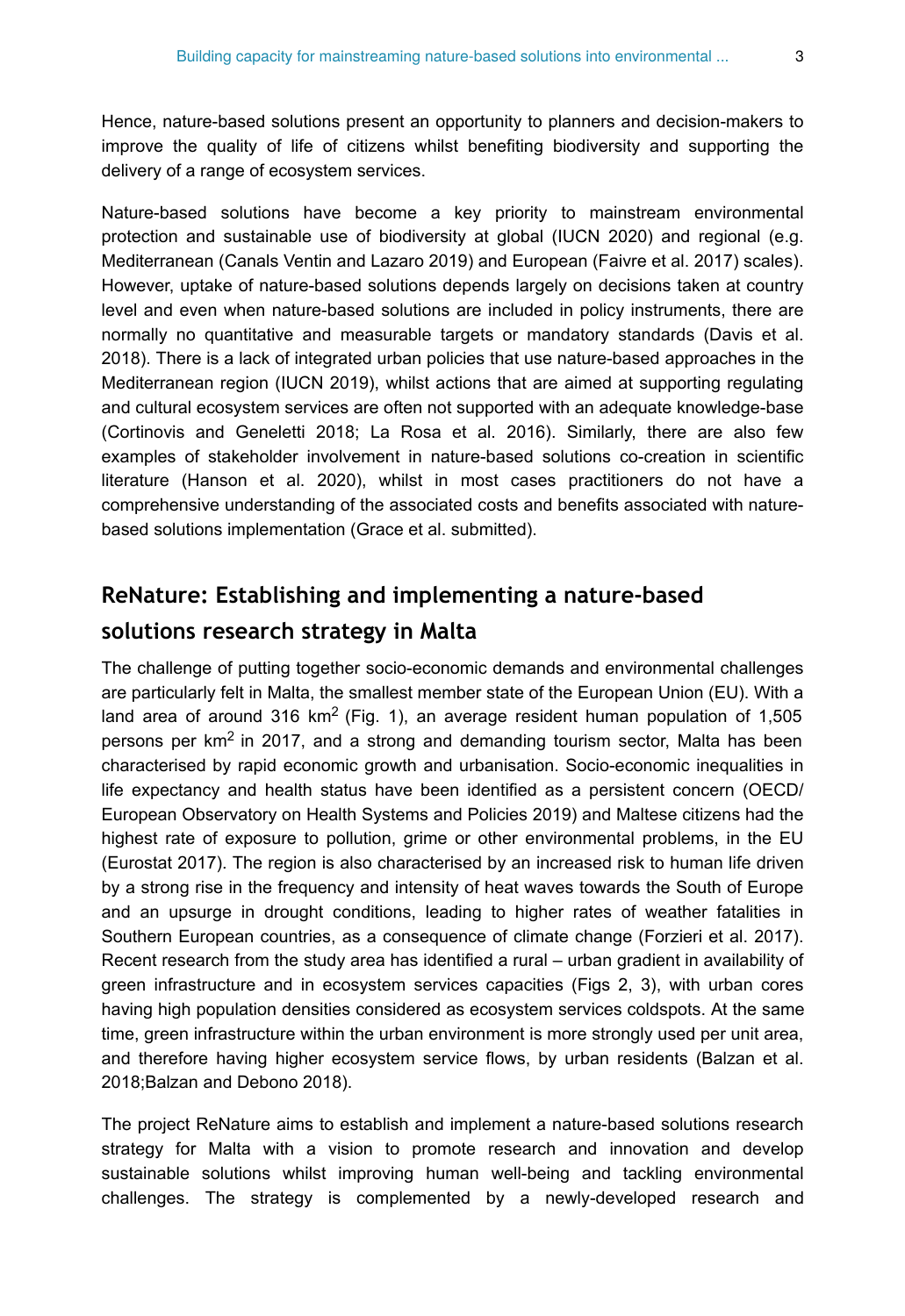Hence, nature-based solutions present an opportunity to planners and decision-makers to improve the quality of life of citizens whilst benefiting biodiversity and supporting the delivery of a range of ecosystem services.

Nature-based solutions have become a key priority to mainstream environmental protection and sustainable use of biodiversity at global (IUCN 2020) and regional (e.g. Mediterranean (Canals Ventin and Lazaro 2019) and European (Faivre et al. 2017) scales). However, uptake of nature-based solutions depends largely on decisions taken at country level and even when nature-based solutions are included in policy instruments, there are normally no quantitative and measurable targets or mandatory standards (Davis et al. 2018). There is a lack of integrated urban policies that use nature-based approaches in the Mediterranean region (IUCN 2019), whilst actions that are aimed at supporting regulating and cultural ecosystem services are often not supported with an adequate knowledge-base (Cortinovis and Geneletti 2018; La Rosa et al. 2016). Similarly, there are also few examples of stakeholder involvement in nature-based solutions co-creation in scientific literature (Hanson et al. 2020), whilst in most cases practitioners do not have a comprehensive understanding of the associated costs and benefits associated with naturebased solutions implementation (Grace et al. submitted).

## **ReNature: Establishing and implementing a nature-based**

## **solutions research strategy in Malta**

The challenge of putting together socio-economic demands and environmental challenges are particularly felt in Malta, the smallest member state of the European Union (EU). With a land area of around 316 km<sup>2</sup> (Fig. 1), an average resident human population of 1,505 persons per  $km^2$  in 2017, and a strong and demanding tourism sector, Malta has been characterised by rapid economic growth and urbanisation. Socio-economic inequalities in life expectancy and health status have been identified as a persistent concern (OECD/ European Observatory on Health Systems and Policies 2019) and Maltese citizens had the highest rate of exposure to pollution, grime or other environmental problems, in the EU (Eurostat 2017). The region is also characterised by an increased risk to human life driven by a strong rise in the frequency and intensity of heat waves towards the South of Europe and an upsurge in drought conditions, leading to higher rates of weather fatalities in Southern European countries, as a consequence of climate change (Forzieri et al. 2017). Recent research from the study area has identified a rural – urban gradient in availability of green infrastructure and in ecosystem services capacities (Figs 2, 3), with urban cores having high population densities considered as ecosystem services coldspots. At the same time, green infrastructure within the urban environment is more strongly used per unit area, and therefore having higher ecosystem service flows, by urban residents (Balzan et al. 2018;Balzan and Debono 2018).

The project ReNature aims to establish and implement a nature-based solutions research strategy for Malta with a vision to promote research and innovation and develop sustainable solutions whilst improving human well-being and tackling environmental challenges. The strategy is complemented by a newly-developed research and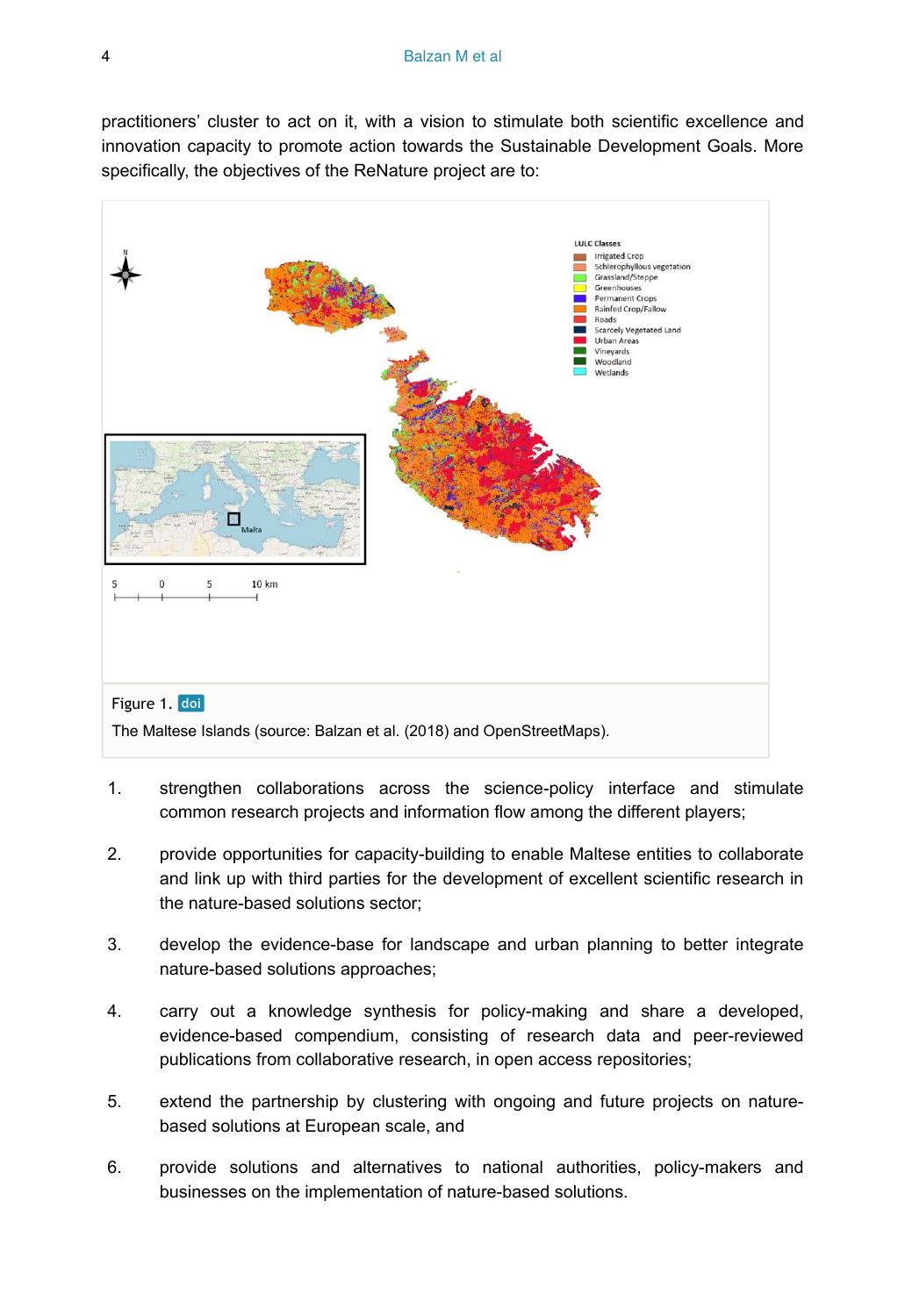practitioners' cluster to act on it, with a vision to stimulate both scientific excellence and innovation capacity to promote action towards the Sustainable Development Goals. More specifically, the objectives of the ReNature project are to:



- 1. strengthen collaborations across the science-policy interface and stimulate common research projects and information flow among the different players;
- 2. provide opportunities for capacity-building to enable Maltese entities to collaborate and link up with third parties for the development of excellent scientific research in the nature-based solutions sector;
- 3. develop the evidence-base for landscape and urban planning to better integrate nature-based solutions approaches;
- 4. carry out a knowledge synthesis for policy-making and share a developed, evidence-based compendium, consisting of research data and peer-reviewed publications from collaborative research, in open access repositories;
- 5. extend the partnership by clustering with ongoing and future projects on naturebased solutions at European scale, and
- 6. provide solutions and alternatives to national authorities, policy-makers and businesses on the implementation of nature-based solutions.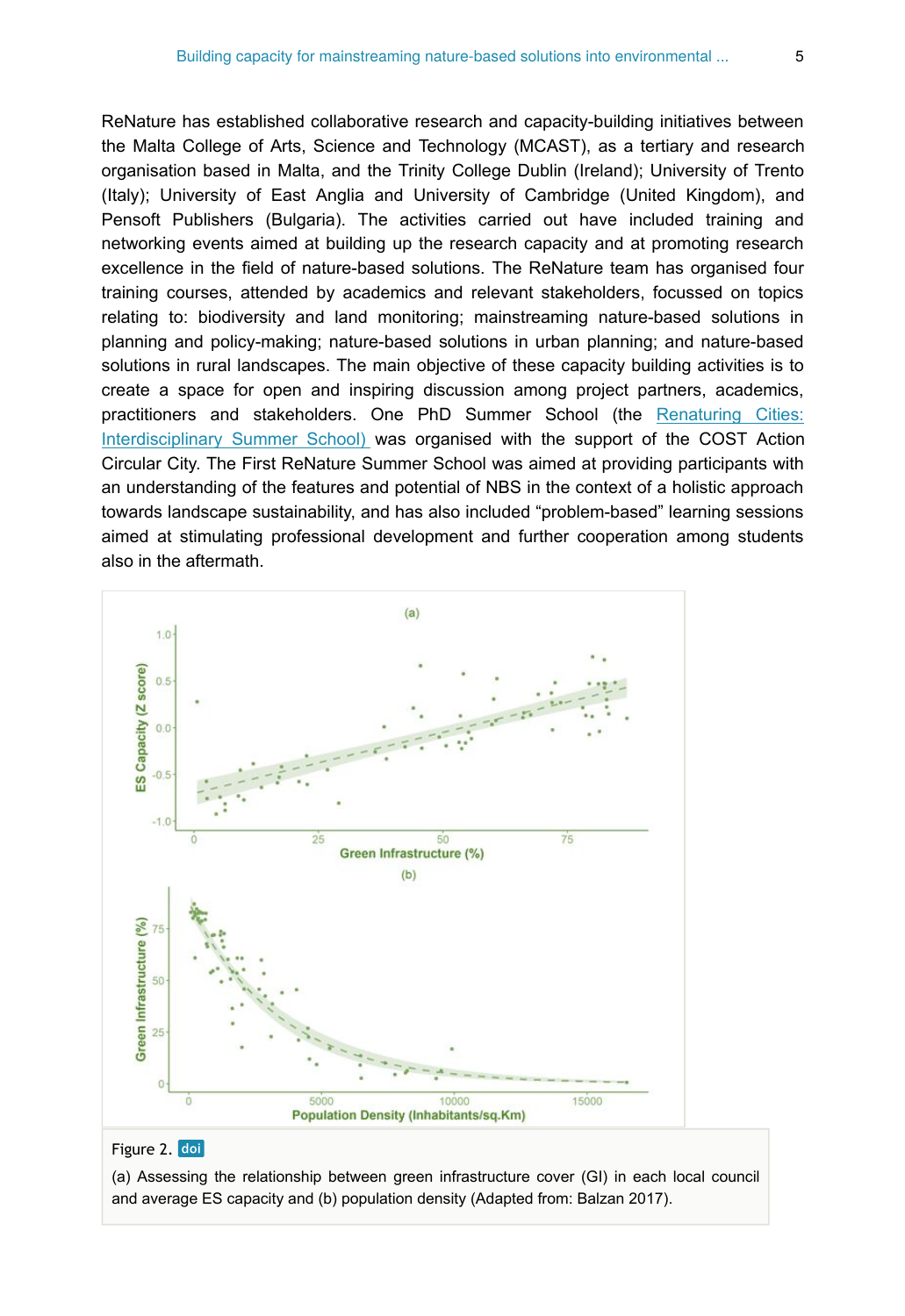ReNature has established collaborative research and capacity-building initiatives between the Malta College of Arts, Science and Technology (MCAST), as a tertiary and research organisation based in Malta, and the Trinity College Dublin (Ireland); University of Trento (Italy); University of East Anglia and University of Cambridge (United Kingdom), and Pensoft Publishers (Bulgaria). The activities carried out have included training and networking events aimed at building up the research capacity and at promoting research excellence in the field of nature-based solutions. The ReNature team has organised four training courses, attended by academics and relevant stakeholders, focussed on topics relating to: biodiversity and land monitoring; mainstreaming nature-based solutions in planning and policy-making; nature-based solutions in urban planning; and nature-based solutions in rural landscapes. The main objective of these capacity building activities is to create a space for open and inspiring discussion among project partners, academics, practitioners and stakeholders. One PhD Summer School (the [Renaturing Cities:](http://renature-project.eu/news/1846_nature-based-solutions-for-malta-arise-from-multi-disciplinary-summer-school/) [Interdisciplinary Summer School\)](http://renature-project.eu/news/1846_nature-based-solutions-for-malta-arise-from-multi-disciplinary-summer-school/) was organised with the support of the COST Action Circular City. The First ReNature Summer School was aimed at providing participants with an understanding of the features and potential of NBS in the context of a holistic approach towards landscape sustainability, and has also included "problem-based" learning sessions aimed at stimulating professional development and further cooperation among students also in the aftermath.



#### Figure 2. doi

(a) Assessing the relationship between green infrastructure cover (GI) in each local council and average ES capacity and (b) population density (Adapted from: Balzan 2017).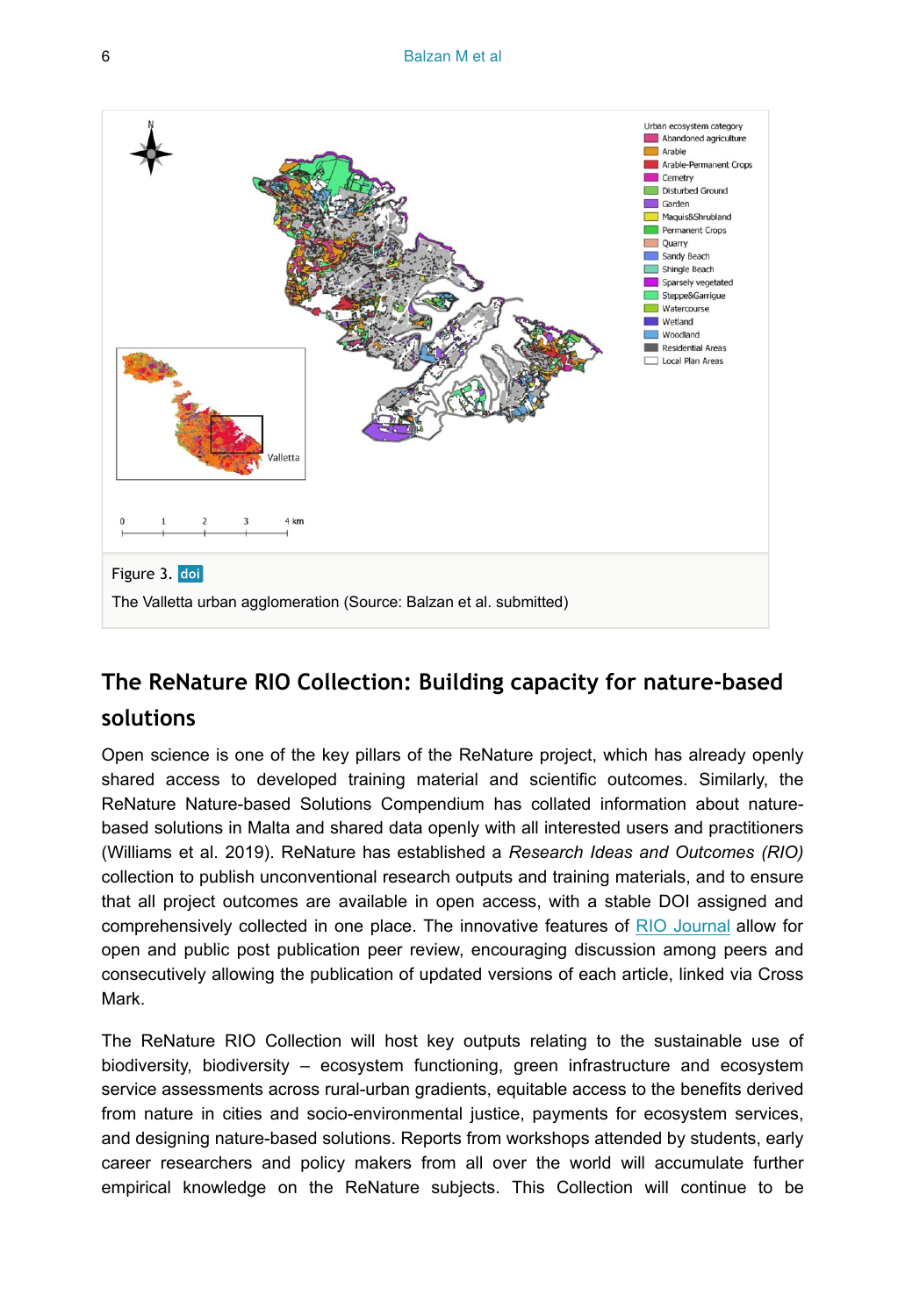

## **The ReNature RIO Collection: Building capacity for nature-based**

## **solutions**

Open science is one of the key pillars of the ReNature project, which has already openly shared access to developed training material and scientific outcomes. Similarly, the ReNature Nature-based Solutions Compendium has collated information about naturebased solutions in Malta and shared data openly with all interested users and practitioners (Williams et al. 2019). ReNature has established a *Research Ideas and Outcomes (RIO)* collection to publish unconventional research outputs and training materials, and to ensure that all project outcomes are available in open access, with a stable DOI assigned and comprehensively collected in one place. The innovative features of RIO Journal allow for open and public post publication peer review, encouraging discussion among peers and consecutively allowing the publication of updated versions of each article, linked via Cross Mark.

The ReNature RIO Collection will host key outputs relating to the sustainable use of biodiversity, biodiversity – ecosystem functioning, green infrastructure and ecosystem service assessments across rural-urban gradients, equitable access to the benefits derived from nature in cities and socio-environmental justice, payments for ecosystem services, and designing nature-based solutions. Reports from workshops attended by students, early career researchers and policy makers from all over the world will accumulate further empirical knowledge on the ReNature subjects. This Collection will continue to be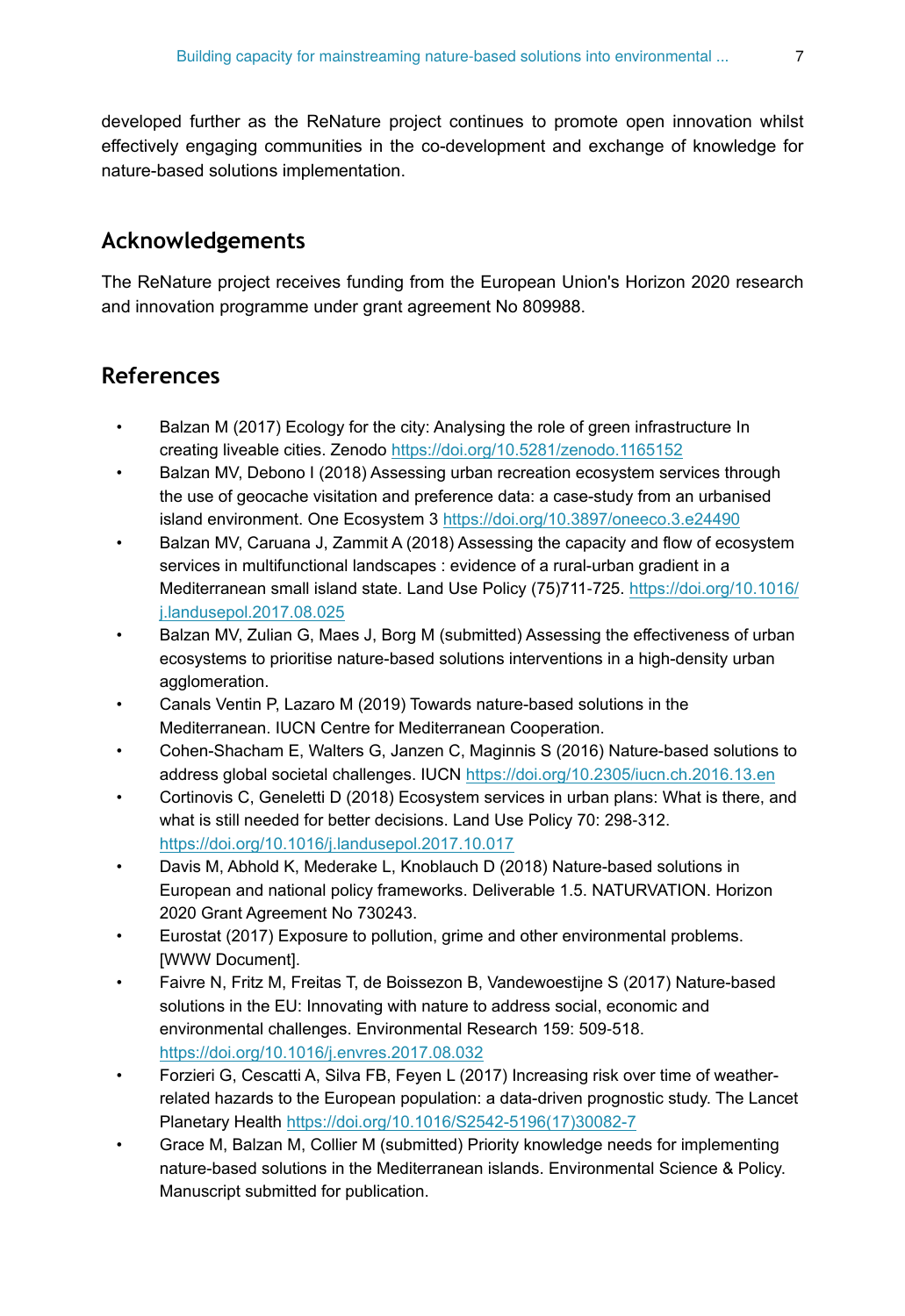developed further as the ReNature project continues to promote open innovation whilst effectively engaging communities in the co-development and exchange of knowledge for nature-based solutions implementation.

## **Acknowledgements**

The ReNature project receives funding from the European Union's Horizon 2020 research and innovation programme under grant agreement No 809988.

## **References**

- Balzan M (2017) Ecology for the city: Analysing the role of green infrastructure In creating liveable cities. Zenodo<https://doi.org/10.5281/zenodo.1165152>
- Balzan MV, Debono I (2018) Assessing urban recreation ecosystem services through the use of geocache visitation and preference data: a case-study from an urbanised island environment. One Ecosystem 3 <https://doi.org/10.3897/oneeco.3.e24490>
- Balzan MV, Caruana J, Zammit A (2018) Assessing the capacity and flow of ecosystem services in multifunctional landscapes : evidence of a rural-urban gradient in a Mediterranean small island state. Land Use Policy (75)711-725. [https://doi.org/10.1016/](https://doi.org/10.1016/j.landusepol.2017.08.025) [j.landusepol.2017.08.025](https://doi.org/10.1016/j.landusepol.2017.08.025)
- Balzan MV, Zulian G, Maes J, Borg M (submitted) Assessing the effectiveness of urban ecosystems to prioritise nature-based solutions interventions in a high-density urban agglomeration.
- Canals Ventin P, Lazaro M (2019) Towards nature-based solutions in the Mediterranean. IUCN Centre for Mediterranean Cooperation.
- Cohen-Shacham E, Walters G, Janzen C, Maginnis S (2016) Nature-based solutions to address global societal challenges. IUCN <https://doi.org/10.2305/iucn.ch.2016.13.en>
- Cortinovis C, Geneletti D (2018) Ecosystem services in urban plans: What is there, and what is still needed for better decisions. Land Use Policy 70: 298‑312. <https://doi.org/10.1016/j.landusepol.2017.10.017>
- Davis M, Abhold K, Mederake L, Knoblauch D (2018) Nature-based solutions in European and national policy frameworks. Deliverable 1.5. NATURVATION. Horizon 2020 Grant Agreement No 730243.
- Eurostat (2017) Exposure to pollution, grime and other environmental problems. [WWW Document].
- Faivre N, Fritz M, Freitas T, de Boissezon B, Vandewoestijne S (2017) Nature-based solutions in the EU: Innovating with nature to address social, economic and environmental challenges. Environmental Research 159: 509‑518. <https://doi.org/10.1016/j.envres.2017.08.032>
- Forzieri G, Cescatti A, Silva FB, Feyen L (2017) Increasing risk over time of weatherrelated hazards to the European population: a data-driven prognostic study. The Lancet Planetary Health [https://doi.org/10.1016/S2542-5196\(17\)30082-7](https://doi.org/10.1016/S2542-5196(17)30082-7)
- Grace M, Balzan M, Collier M (submitted) Priority knowledge needs for implementing nature-based solutions in the Mediterranean islands. Environmental Science & Policy. Manuscript submitted for publication.